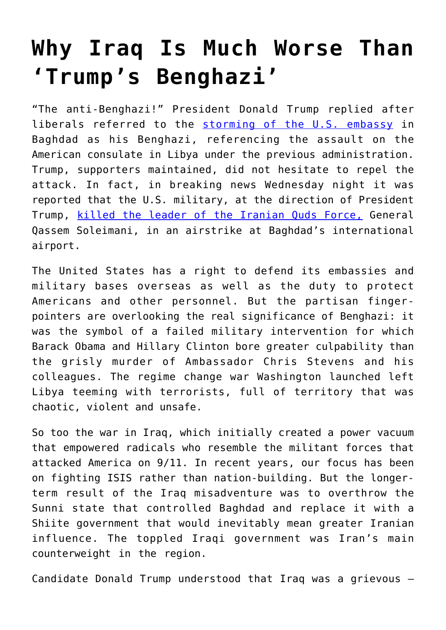## **[Why Iraq Is Much Worse Than](https://intellectualtakeout.org/2020/01/why-iraq-is-much-worse-than-trumps-benghazi/) ['Trump's Benghazi'](https://intellectualtakeout.org/2020/01/why-iraq-is-much-worse-than-trumps-benghazi/)**

"The anti-Benghazi!" President Donald Trump replied after liberals referred to the [storming of the U.S. embassy](https://www.theamericanconservative.com/state-of-the-union/protesters-storm-u-s-embassy-in-baghdad/) in Baghdad as his Benghazi, referencing the assault on the American consulate in Libya under the previous administration. Trump, supporters maintained, did not hesitate to repel the attack. In fact, in breaking news Wednesday night it was reported that the U.S. military, at the direction of President Trump, [killed the leader of the Iranian Quds Force,](https://apnews.com/5597ff0f046a67805cc233d5933a53ed) General Qassem Soleimani, in an airstrike at Baghdad's international airport.

The United States has a right to defend its embassies and military bases overseas as well as the duty to protect Americans and other personnel. But the partisan fingerpointers are overlooking the real significance of Benghazi: it was the symbol of a failed military intervention for which Barack Obama and Hillary Clinton bore greater culpability than the grisly murder of Ambassador Chris Stevens and his colleagues. The regime change war Washington launched left Libya teeming with terrorists, full of territory that was chaotic, violent and unsafe.

So too the war in Iraq, which initially created a power vacuum that empowered radicals who resemble the militant forces that attacked America on 9/11. In recent years, our focus has been on fighting ISIS rather than nation-building. But the longerterm result of the Iraq misadventure was to overthrow the Sunni state that controlled Baghdad and replace it with a Shiite government that would inevitably mean greater Iranian influence. The toppled Iraqi government was Iran's main counterweight in the region.

Candidate Donald Trump understood that Iraq was a grievous –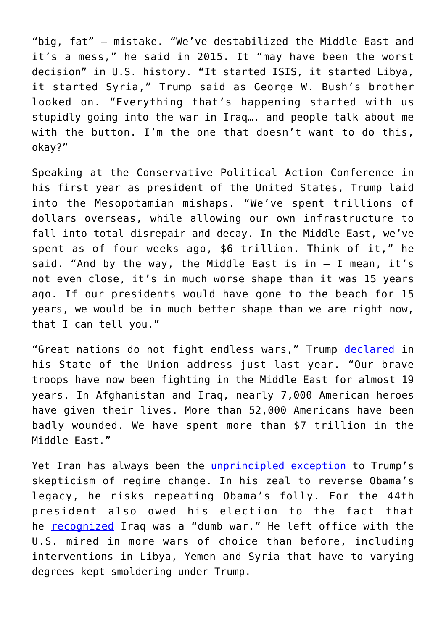"big, fat" – mistake. "We've destabilized the Middle East and it's a mess," he said in 2015. It "may have been the worst decision" in U.S. history. "It started ISIS, it started Libya, it started Syria," Trump said as George W. Bush's brother looked on. "Everything that's happening started with us stupidly going into the war in Iraq…. and people talk about me with the button. I'm the one that doesn't want to do this, okay?"

Speaking at the Conservative Political Action Conference in his first year as president of the United States, Trump laid into the Mesopotamian mishaps. "We've spent trillions of dollars overseas, while allowing our own infrastructure to fall into total disrepair and decay. In the Middle East, we've spent as of four weeks ago, \$6 trillion. Think of it," he said. "And by the way, the Middle East is in  $-$  I mean, it's not even close, it's in much worse shape than it was 15 years ago. If our presidents would have gone to the beach for 15 years, we would be in much better shape than we are right now, that I can tell you."

"Great nations do not fight endless wars," Trump [declared](https://www.theamericanconservative.com/articles/making-america-great-again-means-ending-the-wars/) in his State of the Union address just last year. "Our brave troops have now been fighting in the Middle East for almost 19 years. In Afghanistan and Iraq, nearly 7,000 American heroes have given their lives. More than 52,000 Americans have been badly wounded. We have spent more than \$7 trillion in the Middle East."

Yet Iran has always been the *[unprincipled exception](https://theweek.com/articles/773282/trumps-iran-craze)* to Trump's skepticism of regime change. In his zeal to reverse Obama's legacy, he risks repeating Obama's folly. For the 44th president also owed his election to the fact that he [recognized](https://www.npr.org/templates/story/story.php?storyId=99591469) Iraq was a "dumb war." He left office with the U.S. mired in more wars of choice than before, including interventions in Libya, Yemen and Syria that have to varying degrees kept smoldering under Trump.